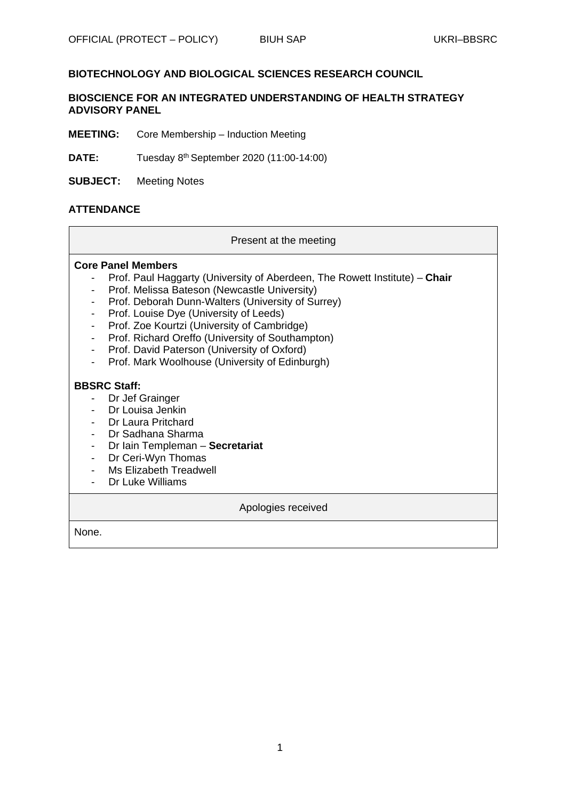## **BIOTECHNOLOGY AND BIOLOGICAL SCIENCES RESEARCH COUNCIL**

### **BIOSCIENCE FOR AN INTEGRATED UNDERSTANDING OF HEALTH STRATEGY ADVISORY PANEL**

- **MEETING:** Core Membership Induction Meeting
- **DATE:** Tuesday 8th September 2020 (11:00-14:00)
- **SUBJECT:** Meeting Notes

## **ATTENDANCE**

### Present at the meeting

### **Core Panel Members**

- Prof. Paul Haggarty (University of Aberdeen, The Rowett Institute) **Chair**
- Prof. Melissa Bateson (Newcastle University)
- Prof. Deborah Dunn-Walters (University of Surrey)
- Prof. Louise Dye (University of Leeds)
- Prof. Zoe Kourtzi (University of Cambridge)
- Prof. Richard Oreffo (University of Southampton)
- Prof. David Paterson (University of Oxford)
- Prof. Mark Woolhouse (University of Edinburgh)

### **BBSRC Staff:**

- Dr Jef Grainger
- Dr Louisa Jenkin
- Dr Laura Pritchard
- Dr Sadhana Sharma
- Dr Iain Templeman **Secretariat**
- Dr Ceri-Wyn Thomas
- Ms Elizabeth Treadwell
- Dr Luke Williams

### Apologies received

None.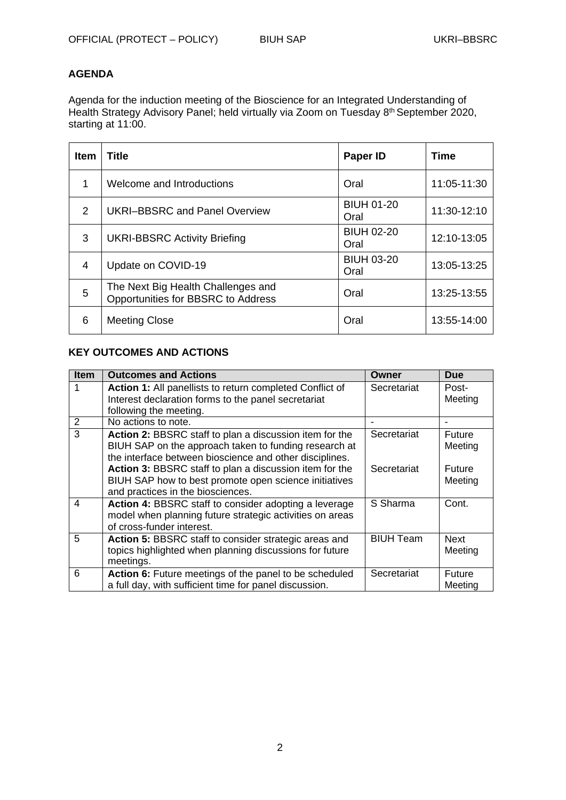# **AGENDA**

Agenda for the induction meeting of the Bioscience for an Integrated Understanding of Health Strategy Advisory Panel; held virtually via Zoom on Tuesday 8th September 2020, starting at 11:00.

| <b>Item</b>   | <b>Title</b>                                                             | Paper ID                  | Time        |
|---------------|--------------------------------------------------------------------------|---------------------------|-------------|
|               | Welcome and Introductions                                                | Oral                      | 11:05-11:30 |
| $\mathcal{P}$ | <b>UKRI-BBSRC and Panel Overview</b>                                     | <b>BIUH 01-20</b><br>Oral | 11:30-12:10 |
| 3             | <b>UKRI-BBSRC Activity Briefing</b>                                      | <b>BIUH 02-20</b><br>Oral | 12:10-13:05 |
| 4             | Update on COVID-19                                                       | <b>BIUH 03-20</b><br>Oral | 13:05-13:25 |
| 5             | The Next Big Health Challenges and<br>Opportunities for BBSRC to Address | Oral                      | 13:25-13:55 |
| 6             | <b>Meeting Close</b>                                                     | Oral                      | 13:55-14:00 |

# **KEY OUTCOMES AND ACTIONS**

| <b>Item</b> | <b>Outcomes and Actions</b>                                                                                       | Owner            | <b>Due</b>               |
|-------------|-------------------------------------------------------------------------------------------------------------------|------------------|--------------------------|
|             | Action 1: All panellists to return completed Conflict of                                                          | Secretariat      | Post-                    |
|             | Interest declaration forms to the panel secretariat                                                               |                  | Meeting                  |
|             | following the meeting.                                                                                            |                  |                          |
| 2           | No actions to note.                                                                                               |                  |                          |
| 3           | Action 2: BBSRC staff to plan a discussion item for the<br>BIUH SAP on the approach taken to funding research at  | Secretariat      | <b>Future</b><br>Meeting |
|             | the interface between bioscience and other disciplines.                                                           |                  |                          |
|             | Action 3: BBSRC staff to plan a discussion item for the                                                           | Secretariat      | Future                   |
|             | BIUH SAP how to best promote open science initiatives                                                             |                  | Meeting                  |
|             | and practices in the biosciences.                                                                                 |                  |                          |
| 4           | Action 4: BBSRC staff to consider adopting a leverage<br>model when planning future strategic activities on areas | S Sharma         | Cont.                    |
|             | of cross-funder interest.                                                                                         |                  |                          |
| 5           | Action 5: BBSRC staff to consider strategic areas and                                                             | <b>BIUH Team</b> | <b>Next</b>              |
|             | topics highlighted when planning discussions for future                                                           |                  | Meeting                  |
|             | meetings.                                                                                                         |                  |                          |
| 6           | Action 6: Future meetings of the panel to be scheduled                                                            | Secretariat      | Future                   |
|             | a full day, with sufficient time for panel discussion.                                                            |                  | Meeting                  |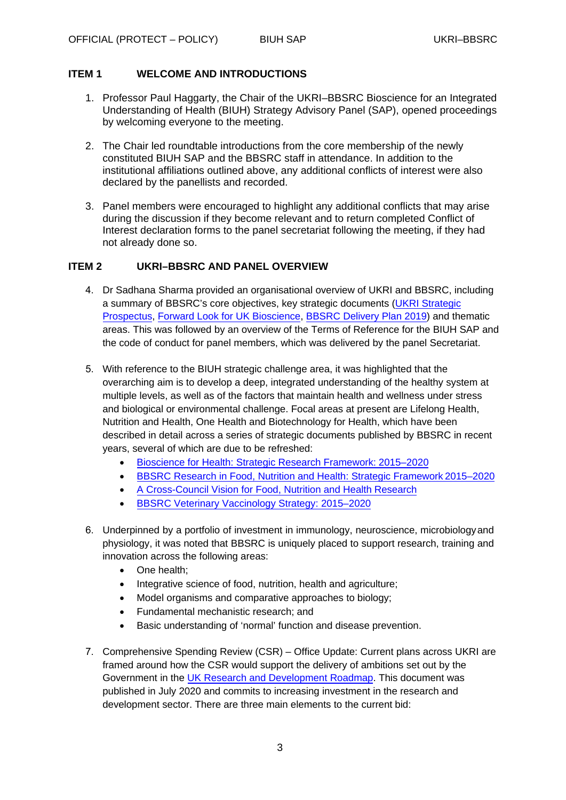## **ITEM 1 WELCOME AND INTRODUCTIONS**

- 1. Professor Paul Haggarty, the Chair of the UKRI–BBSRC Bioscience for an Integrated Understanding of Health (BIUH) Strategy Advisory Panel (SAP), opened proceedings by welcoming everyone to the meeting.
- 2. The Chair led roundtable introductions from the core membership of the newly constituted BIUH SAP and the BBSRC staff in attendance. In addition to the institutional affiliations outlined above, any additional conflicts of interest were also declared by the panellists and recorded.
- 3. Panel members were encouraged to highlight any additional conflicts that may arise during the discussion if they become relevant and to return completed Conflict of Interest declaration forms to the panel secretariat following the meeting, if they had not already done so.

## **ITEM 2 UKRI–BBSRC AND PANEL OVERVIEW**

- 4. Dr Sadhana Sharma provided an organisational overview of UKRI and BBSRC, including a summary of BBSRC's core objectives, key strategic documents (UKRI [Strategic](https://www.ukri.org/files/about/ukri-strategy-document-pdf/?pdf=Strategic-Prospectus) [Prospectus,](https://www.ukri.org/files/about/ukri-strategy-document-pdf/?pdf=Strategic-Prospectus) [Forward Look for UK](https://bbsrc.ukri.org/documents/forward-look-for-uk-bioscience-pdf/) Bioscience, [BBSRC Delivery Plan 2019\)](https://www.ukri.org/files/about/dps/bbsrc-dp-2019/) and thematic areas. This was followed by an overview of the Terms of Reference for the BIUH SAP and the code of conduct for panel members, which was delivered by the panel Secretariat.
- 5. With reference to the BIUH strategic challenge area, it was highlighted that the overarching aim is to develop a deep, integrated understanding of the healthy system at multiple levels, as well as of the factors that maintain health and wellness under stress and biological or environmental challenge. Focal areas at present are Lifelong Health, Nutrition and Health, One Health and Biotechnology for Health, which have been described in detail across a series of strategic documents published by BBSRC in recent years, several of which are due to be refreshed:
	- Bioscience for Health: Strategic Research Framework: 2015–2020
	- [BBSRC Research in Food, Nutrition and Health: Strategic Framewo](https://bbsrc.ukri.org/documents/bioscience-for-health-booklet/)rk 2015–2020
	- [A Cross-Council Vision for Food, Nutrition and Health](https://bbsrc.ukri.org/documents/1503-fnh-strategic-framework/) Research
	- [BBSRC Veterinary Vaccinology Strategy: 2015–2020](https://bbsrc.ukri.org/documents/1503-crosscouncil-fnh-booklet/#%3A%7E%3Atext%3DRecognising%20that%20clearer%20cross%2DCouncil%2Cfood%2C%20nutrition%20and%20health%20research)
- 6. Underpinned by a portfolio of investment in immunology, neuroscience, microbiologyand physiology, it was noted that BBSRC is uniquely placed to support research, training and innovation across the following areas:
	- One health;
	- Integrative science of food, nutrition, health and agriculture;
	- Model organisms and comparative approaches to biology;
	- Fundamental mechanistic research; and
	- Basic understanding of 'normal' function and disease prevention.
- 7. Comprehensive Spending Review (CSR) Office Update: Current plans across UKRI are framed around how the CSR would support the delivery of ambitions set out by the Government in the [UK Research and Development Roadmap. T](https://www.gov.uk/government/publications/uk-research-and-development-roadmap/uk-research-and-development-roadmap)his document was published in July 2020 and commits to increasing investment in the research and development sector. There are three main elements to the current bid: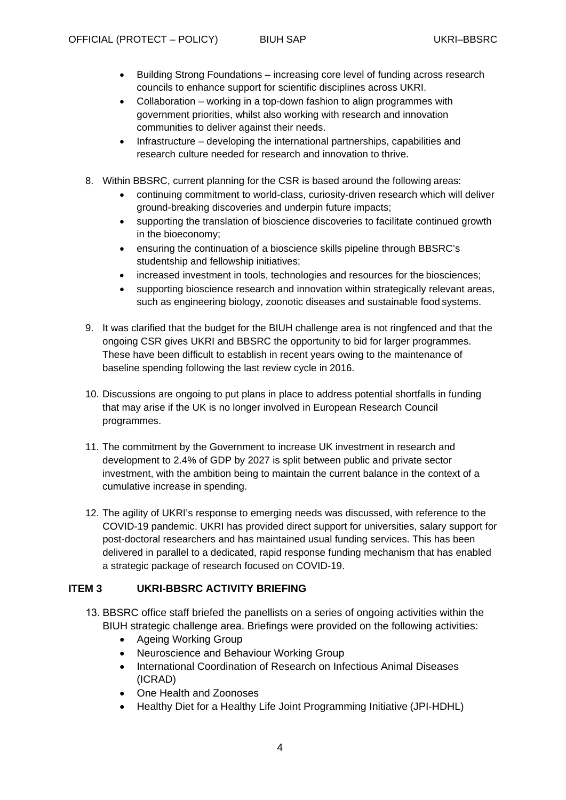- Building Strong Foundations increasing core level of funding across research councils to enhance support for scientific disciplines across UKRI.
- Collaboration working in a top-down fashion to align programmes with government priorities, whilst also working with research and innovation communities to deliver against their needs.
- Infrastructure developing the international partnerships, capabilities and research culture needed for research and innovation to thrive.
- 8. Within BBSRC, current planning for the CSR is based around the following areas:
	- continuing commitment to world-class, curiosity-driven research which will deliver ground-breaking discoveries and underpin future impacts;
	- supporting the translation of bioscience discoveries to facilitate continued growth in the bioeconomy;
	- ensuring the continuation of a bioscience skills pipeline through BBSRC's studentship and fellowship initiatives;
	- increased investment in tools, technologies and resources for the biosciences;
	- supporting bioscience research and innovation within strategically relevant areas, such as engineering biology, zoonotic diseases and sustainable food systems.
- 9. It was clarified that the budget for the BIUH challenge area is not ringfenced and that the ongoing CSR gives UKRI and BBSRC the opportunity to bid for larger programmes. These have been difficult to establish in recent years owing to the maintenance of baseline spending following the last review cycle in 2016.
- 10. Discussions are ongoing to put plans in place to address potential shortfalls in funding that may arise if the UK is no longer involved in European Research Council programmes.
- 11. The commitment by the Government to increase UK investment in research and development to 2.4% of GDP by 2027 is split between public and private sector investment, with the ambition being to maintain the current balance in the context of a cumulative increase in spending.
- 12. The agility of UKRI's response to emerging needs was discussed, with reference to the COVID-19 pandemic. UKRI has provided direct support for universities, salary support for post-doctoral researchers and has maintained usual funding services. This has been delivered in parallel to a dedicated, rapid response funding mechanism that has enabled a strategic package of research focused on COVID-19.

# **ITEM 3 UKRI-BBSRC ACTIVITY BRIEFING**

- 13. BBSRC office staff briefed the panellists on a series of ongoing activities within the BIUH strategic challenge area. Briefings were provided on the following activities:
	- Ageing Working Group
	- Neuroscience and Behaviour Working Group
	- International Coordination of Research on Infectious Animal Diseases (ICRAD)
	- One Health and Zoonoses
	- Healthy Diet for a Healthy Life Joint Programming Initiative (JPI-HDHL)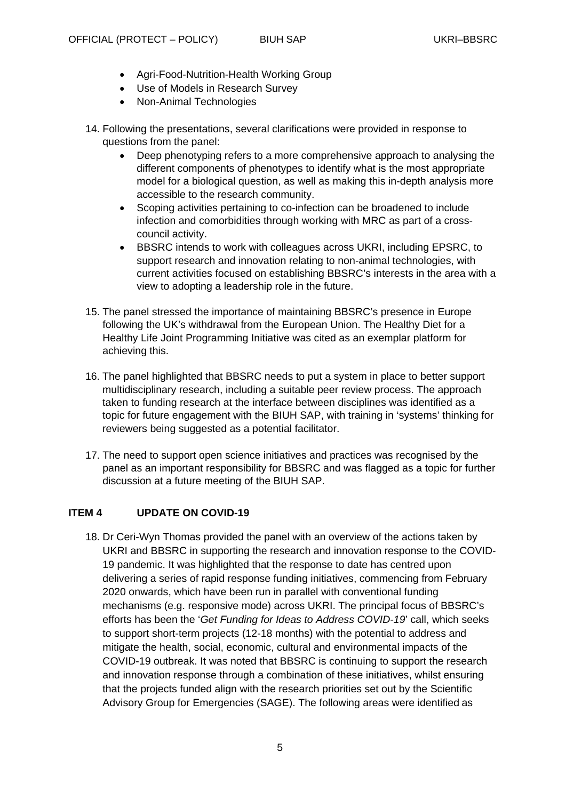- Agri-Food-Nutrition-Health Working Group
- Use of Models in Research Survey
- Non-Animal Technologies
- 14. Following the presentations, several clarifications were provided in response to questions from the panel:
	- Deep phenotyping refers to a more comprehensive approach to analysing the different components of phenotypes to identify what is the most appropriate model for a biological question, as well as making this in-depth analysis more accessible to the research community.
	- Scoping activities pertaining to co-infection can be broadened to include infection and comorbidities through working with MRC as part of a crosscouncil activity.
	- BBSRC intends to work with colleagues across UKRI, including EPSRC, to support research and innovation relating to non-animal technologies, with current activities focused on establishing BBSRC's interests in the area with a view to adopting a leadership role in the future.
- 15. The panel stressed the importance of maintaining BBSRC's presence in Europe following the UK's withdrawal from the European Union. The Healthy Diet for a Healthy Life Joint Programming Initiative was cited as an exemplar platform for achieving this.
- 16. The panel highlighted that BBSRC needs to put a system in place to better support multidisciplinary research, including a suitable peer review process. The approach taken to funding research at the interface between disciplines was identified as a topic for future engagement with the BIUH SAP, with training in 'systems' thinking for reviewers being suggested as a potential facilitator.
- 17. The need to support open science initiatives and practices was recognised by the panel as an important responsibility for BBSRC and was flagged as a topic for further discussion at a future meeting of the BIUH SAP.

# **ITEM 4 UPDATE ON COVID-19**

18. Dr Ceri-Wyn Thomas provided the panel with an overview of the actions taken by UKRI and BBSRC in supporting the research and innovation response to the COVID-19 pandemic. It was highlighted that the response to date has centred upon delivering a series of rapid response funding initiatives, commencing from February 2020 onwards, which have been run in parallel with conventional funding mechanisms (e.g. responsive mode) across UKRI. The principal focus of BBSRC's efforts has been the '*Get Funding for Ideas to Address COVID-19*' call, which seeks to support short-term projects (12-18 months) with the potential to address and mitigate the health, social, economic, cultural and environmental impacts of the COVID-19 outbreak. It was noted that BBSRC is continuing to support the research and innovation response through a combination of these initiatives, whilst ensuring that the projects funded align with the research priorities set out by the Scientific Advisory Group for Emergencies (SAGE). The following areas were identified as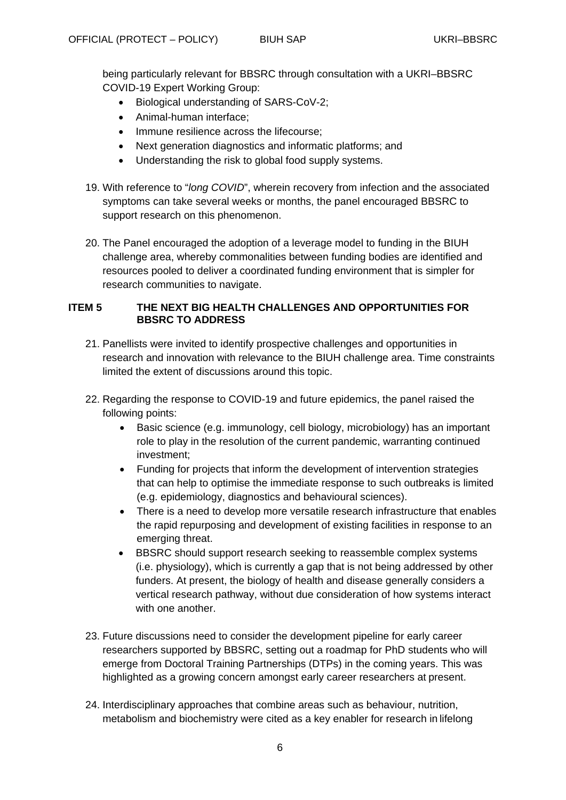being particularly relevant for BBSRC through consultation with a UKRI–BBSRC COVID-19 Expert Working Group:

- Biological understanding of SARS-CoV-2;
- Animal-human interface;
- Immune resilience across the lifecourse:
- Next generation diagnostics and informatic platforms; and
- Understanding the risk to global food supply systems.
- 19. With reference to "*long COVID*", wherein recovery from infection and the associated symptoms can take several weeks or months, the panel encouraged BBSRC to support research on this phenomenon.
- 20. The Panel encouraged the adoption of a leverage model to funding in the BIUH challenge area, whereby commonalities between funding bodies are identified and resources pooled to deliver a coordinated funding environment that is simpler for research communities to navigate.

## **ITEM 5 THE NEXT BIG HEALTH CHALLENGES AND OPPORTUNITIES FOR BBSRC TO ADDRESS**

- 21. Panellists were invited to identify prospective challenges and opportunities in research and innovation with relevance to the BIUH challenge area. Time constraints limited the extent of discussions around this topic.
- 22. Regarding the response to COVID-19 and future epidemics, the panel raised the following points:
	- Basic science (e.g. immunology, cell biology, microbiology) has an important role to play in the resolution of the current pandemic, warranting continued investment;
	- Funding for projects that inform the development of intervention strategies that can help to optimise the immediate response to such outbreaks is limited (e.g. epidemiology, diagnostics and behavioural sciences).
	- There is a need to develop more versatile research infrastructure that enables the rapid repurposing and development of existing facilities in response to an emerging threat.
	- BBSRC should support research seeking to reassemble complex systems (i.e. physiology), which is currently a gap that is not being addressed by other funders. At present, the biology of health and disease generally considers a vertical research pathway, without due consideration of how systems interact with one another.
- 23. Future discussions need to consider the development pipeline for early career researchers supported by BBSRC, setting out a roadmap for PhD students who will emerge from Doctoral Training Partnerships (DTPs) in the coming years. This was highlighted as a growing concern amongst early career researchers at present.
- 24. Interdisciplinary approaches that combine areas such as behaviour, nutrition, metabolism and biochemistry were cited as a key enabler for research in lifelong